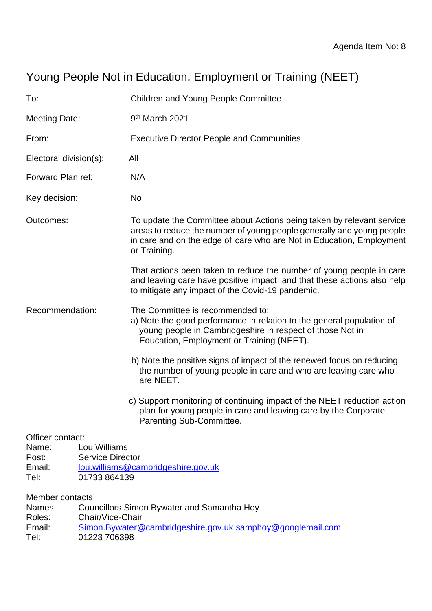# Young People Not in Education, Employment or Training (NEET)

| To:                                                     |                                                         | <b>Children and Young People Committee</b>                                                                                                                                                                                             |  |  |
|---------------------------------------------------------|---------------------------------------------------------|----------------------------------------------------------------------------------------------------------------------------------------------------------------------------------------------------------------------------------------|--|--|
| Meeting Date:                                           |                                                         | 9 <sup>th</sup> March 2021                                                                                                                                                                                                             |  |  |
| From:                                                   |                                                         | <b>Executive Director People and Communities</b>                                                                                                                                                                                       |  |  |
| Electoral division(s):                                  |                                                         | All                                                                                                                                                                                                                                    |  |  |
| Forward Plan ref:                                       |                                                         | N/A                                                                                                                                                                                                                                    |  |  |
| Key decision:                                           |                                                         | No                                                                                                                                                                                                                                     |  |  |
| Outcomes:                                               |                                                         | To update the Committee about Actions being taken by relevant service<br>areas to reduce the number of young people generally and young people<br>in care and on the edge of care who are Not in Education, Employment<br>or Training. |  |  |
|                                                         |                                                         | That actions been taken to reduce the number of young people in care<br>and leaving care have positive impact, and that these actions also help<br>to mitigate any impact of the Covid-19 pandemic.                                    |  |  |
| Recommendation:                                         |                                                         | The Committee is recommended to:<br>a) Note the good performance in relation to the general population of<br>young people in Cambridgeshire in respect of those Not in<br>Education, Employment or Training (NEET).                    |  |  |
|                                                         |                                                         | b) Note the positive signs of impact of the renewed focus on reducing<br>the number of young people in care and who are leaving care who<br>are NEET.                                                                                  |  |  |
|                                                         |                                                         | c) Support monitoring of continuing impact of the NEET reduction action<br>plan for young people in care and leaving care by the Corporate<br>Parenting Sub-Committee.                                                                 |  |  |
| Officer contact:<br>Name:<br>Post:<br>Email:<br>Tel:    | Lou Williams<br><b>Service Director</b><br>01733 864139 | lou.williams@cambridgeshire.gov.uk                                                                                                                                                                                                     |  |  |
| Member contacts:<br>Names:<br>Roles:<br>Email:<br>$T_0$ | Chair/Vice-Chair<br>01222 706209                        | <b>Councillors Simon Bywater and Samantha Hoy</b><br>Simon.Bywater@cambridgeshire.gov.uk samphoy@googlemail.com                                                                                                                        |  |  |

Tel: 01223 706398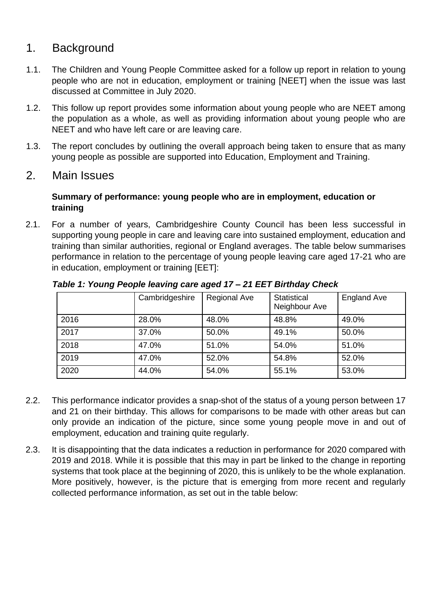## 1. Background

- 1.1. The Children and Young People Committee asked for a follow up report in relation to young people who are not in education, employment or training [NEET] when the issue was last discussed at Committee in July 2020.
- 1.2. This follow up report provides some information about young people who are NEET among the population as a whole, as well as providing information about young people who are NEET and who have left care or are leaving care.
- 1.3. The report concludes by outlining the overall approach being taken to ensure that as many young people as possible are supported into Education, Employment and Training.

### 2. Main Issues

#### **Summary of performance: young people who are in employment, education or training**

2.1. For a number of years, Cambridgeshire County Council has been less successful in supporting young people in care and leaving care into sustained employment, education and training than similar authorities, regional or England averages. The table below summarises performance in relation to the percentage of young people leaving care aged 17-21 who are in education, employment or training [EET]:

|      | Cambridgeshire | <b>Regional Ave</b> | <b>Statistical</b><br>Neighbour Ave | <b>England Ave</b> |
|------|----------------|---------------------|-------------------------------------|--------------------|
| 2016 | 28.0%          | 48.0%               | 48.8%                               | 49.0%              |
| 2017 | 37.0%          | 50.0%               | 49.1%                               | 50.0%              |
| 2018 | 47.0%          | 51.0%               | 54.0%                               | 51.0%              |
| 2019 | 47.0%          | 52.0%               | 54.8%                               | 52.0%              |
| 2020 | 44.0%          | 54.0%               | 55.1%                               | 53.0%              |

*Table 1: Young People leaving care aged 17 – 21 EET Birthday Check* 

- 2.2. This performance indicator provides a snap-shot of the status of a young person between 17 and 21 on their birthday. This allows for comparisons to be made with other areas but can only provide an indication of the picture, since some young people move in and out of employment, education and training quite regularly.
- 2.3. It is disappointing that the data indicates a reduction in performance for 2020 compared with 2019 and 2018. While it is possible that this may in part be linked to the change in reporting systems that took place at the beginning of 2020, this is unlikely to be the whole explanation. More positively, however, is the picture that is emerging from more recent and regularly collected performance information, as set out in the table below: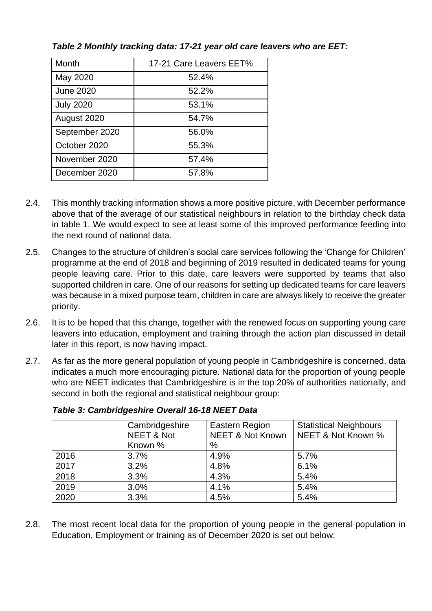| Month            | 17-21 Care Leavers EET% |
|------------------|-------------------------|
| May 2020         | 52.4%                   |
| <b>June 2020</b> | 52.2%                   |
| <b>July 2020</b> | 53.1%                   |
| August 2020      | 54.7%                   |
| September 2020   | 56.0%                   |
| October 2020     | 55.3%                   |
| November 2020    | 57.4%                   |
| December 2020    | 57.8%                   |

*Table 2 Monthly tracking data: 17-21 year old care leavers who are EET:*

- 2.4. This monthly tracking information shows a more positive picture, with December performance above that of the average of our statistical neighbours in relation to the birthday check data in table 1. We would expect to see at least some of this improved performance feeding into the next round of national data.
- 2.5. Changes to the structure of children's social care services following the 'Change for Children' programme at the end of 2018 and beginning of 2019 resulted in dedicated teams for young people leaving care. Prior to this date, care leavers were supported by teams that also supported children in care. One of our reasons for setting up dedicated teams for care leavers was because in a mixed purpose team, children in care are always likely to receive the greater priority.
- 2.6. It is to be hoped that this change, together with the renewed focus on supporting young care leavers into education, employment and training through the action plan discussed in detail later in this report, is now having impact.
- 2.7. As far as the more general population of young people in Cambridgeshire is concerned, data indicates a much more encouraging picture. National data for the proportion of young people who are NEET indicates that Cambridgeshire is in the top 20% of authorities nationally, and second in both the regional and statistical neighbour group:

|      | Cambridgeshire        | Eastern Region              | <b>Statistical Neighbours</b> |
|------|-----------------------|-----------------------------|-------------------------------|
|      | <b>NEET &amp; Not</b> | <b>NEET &amp; Not Known</b> | NEET & Not Known %            |
|      | Known %               | %                           |                               |
| 2016 | 3.7%                  | 4.9%                        | 5.7%                          |
| 2017 | 3.2%                  | 4.8%                        | 6.1%                          |
| 2018 | 3.3%                  | 4.3%                        | 5.4%                          |
| 2019 | 3.0%                  | 4.1%                        | 5.4%                          |
| 2020 | 3.3%                  | 4.5%                        | 5.4%                          |
|      |                       |                             |                               |

*Table 3: Cambridgeshire Overall 16-18 NEET Data* 

2.8. The most recent local data for the proportion of young people in the general population in Education, Employment or training as of December 2020 is set out below: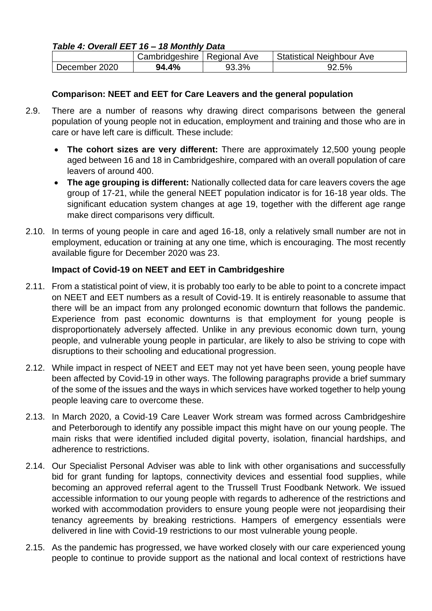#### *Table 4: Overall EET 16 – 18 Monthly Data*

|               | Cambridgeshire   Regional Ave |       | <b>Statistical Neighbour Ave</b> |
|---------------|-------------------------------|-------|----------------------------------|
| December 2020 | 94.4%                         | 93.3% | 92.5%                            |

#### **Comparison: NEET and EET for Care Leavers and the general population**

- 2.9. There are a number of reasons why drawing direct comparisons between the general population of young people not in education, employment and training and those who are in care or have left care is difficult. These include:
	- **The cohort sizes are very different:** There are approximately 12,500 young people aged between 16 and 18 in Cambridgeshire, compared with an overall population of care leavers of around 400.
	- **The age grouping is different:** Nationally collected data for care leavers covers the age group of 17-21, while the general NEET population indicator is for 16-18 year olds. The significant education system changes at age 19, together with the different age range make direct comparisons very difficult.
- 2.10. In terms of young people in care and aged 16-18, only a relatively small number are not in employment, education or training at any one time, which is encouraging. The most recently available figure for December 2020 was 23.

#### **Impact of Covid-19 on NEET and EET in Cambridgeshire**

- 2.11. From a statistical point of view, it is probably too early to be able to point to a concrete impact on NEET and EET numbers as a result of Covid-19. It is entirely reasonable to assume that there will be an impact from any prolonged economic downturn that follows the pandemic. Experience from past economic downturns is that employment for young people is disproportionately adversely affected. Unlike in any previous economic down turn, young people, and vulnerable young people in particular, are likely to also be striving to cope with disruptions to their schooling and educational progression.
- 2.12. While impact in respect of NEET and EET may not yet have been seen, young people have been affected by Covid-19 in other ways. The following paragraphs provide a brief summary of the some of the issues and the ways in which services have worked together to help young people leaving care to overcome these.
- 2.13. In March 2020, a Covid-19 Care Leaver Work stream was formed across Cambridgeshire and Peterborough to identify any possible impact this might have on our young people. The main risks that were identified included digital poverty, isolation, financial hardships, and adherence to restrictions.
- 2.14. Our Specialist Personal Adviser was able to link with other organisations and successfully bid for grant funding for laptops, connectivity devices and essential food supplies, while becoming an approved referral agent to the Trussell Trust Foodbank Network. We issued accessible information to our young people with regards to adherence of the restrictions and worked with accommodation providers to ensure young people were not jeopardising their tenancy agreements by breaking restrictions. Hampers of emergency essentials were delivered in line with Covid-19 restrictions to our most vulnerable young people.
- 2.15. As the pandemic has progressed, we have worked closely with our care experienced young people to continue to provide support as the national and local context of restrictions have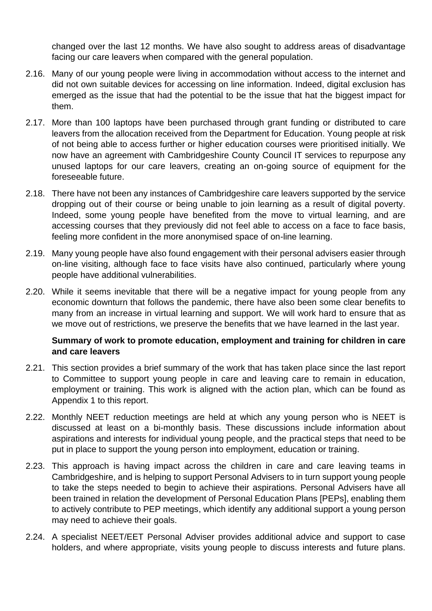changed over the last 12 months. We have also sought to address areas of disadvantage facing our care leavers when compared with the general population.

- 2.16. Many of our young people were living in accommodation without access to the internet and did not own suitable devices for accessing on line information. Indeed, digital exclusion has emerged as the issue that had the potential to be the issue that hat the biggest impact for them.
- 2.17. More than 100 laptops have been purchased through grant funding or distributed to care leavers from the allocation received from the Department for Education. Young people at risk of not being able to access further or higher education courses were prioritised initially. We now have an agreement with Cambridgeshire County Council IT services to repurpose any unused laptops for our care leavers, creating an on-going source of equipment for the foreseeable future.
- 2.18. There have not been any instances of Cambridgeshire care leavers supported by the service dropping out of their course or being unable to join learning as a result of digital poverty. Indeed, some young people have benefited from the move to virtual learning, and are accessing courses that they previously did not feel able to access on a face to face basis, feeling more confident in the more anonymised space of on-line learning.
- 2.19. Many young people have also found engagement with their personal advisers easier through on-line visiting, although face to face visits have also continued, particularly where young people have additional vulnerabilities.
- 2.20. While it seems inevitable that there will be a negative impact for young people from any economic downturn that follows the pandemic, there have also been some clear benefits to many from an increase in virtual learning and support. We will work hard to ensure that as we move out of restrictions, we preserve the benefits that we have learned in the last year.

#### **Summary of work to promote education, employment and training for children in care and care leavers**

- 2.21. This section provides a brief summary of the work that has taken place since the last report to Committee to support young people in care and leaving care to remain in education, employment or training. This work is aligned with the action plan, which can be found as Appendix 1 to this report.
- 2.22. Monthly NEET reduction meetings are held at which any young person who is NEET is discussed at least on a bi-monthly basis. These discussions include information about aspirations and interests for individual young people, and the practical steps that need to be put in place to support the young person into employment, education or training.
- 2.23. This approach is having impact across the children in care and care leaving teams in Cambridgeshire, and is helping to support Personal Advisers to in turn support young people to take the steps needed to begin to achieve their aspirations. Personal Advisers have all been trained in relation the development of Personal Education Plans [PEPs], enabling them to actively contribute to PEP meetings, which identify any additional support a young person may need to achieve their goals.
- 2.24. A specialist NEET/EET Personal Adviser provides additional advice and support to case holders, and where appropriate, visits young people to discuss interests and future plans.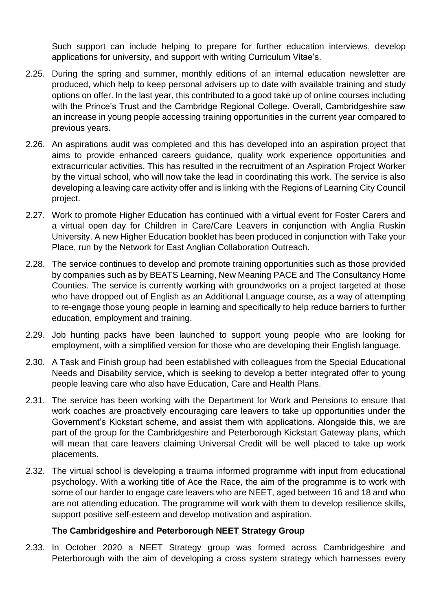Such support can include helping to prepare for further education interviews, develop applications for university, and support with writing Curriculum Vitae's.

- 2.25. During the spring and summer, monthly editions of an internal education newsletter are produced, which help to keep personal advisers up to date with available training and study options on offer. In the last year, this contributed to a good take up of online courses including with the Prince's Trust and the Cambridge Regional College. Overall, Cambridgeshire saw an increase in young people accessing training opportunities in the current year compared to previous years.
- 2.26. An aspirations audit was completed and this has developed into an aspiration project that aims to provide enhanced careers guidance, quality work experience opportunities and extracurricular activities. This has resulted in the recruitment of an Aspiration Project Worker by the virtual school, who will now take the lead in coordinating this work. The service is also developing a leaving care activity offer and is linking with the Regions of Learning City Council project.
- 2.27. Work to promote Higher Education has continued with a virtual event for Foster Carers and a virtual open day for Children in Care/Care Leavers in conjunction with Anglia Ruskin University. A new Higher Education booklet has been produced in conjunction with Take your Place, run by the Network for East Anglian Collaboration Outreach.
- 2.28. The service continues to develop and promote training opportunities such as those provided by companies such as by BEATS Learning, New Meaning PACE and The Consultancy Home Counties. The service is currently working with groundworks on a project targeted at those who have dropped out of English as an Additional Language course, as a way of attempting to re-engage those young people in learning and specifically to help reduce barriers to further education, employment and training.
- 2.29. Job hunting packs have been launched to support young people who are looking for employment, with a simplified version for those who are developing their English language.
- 2.30. A Task and Finish group had been established with colleagues from the Special Educational Needs and Disability service, which is seeking to develop a better integrated offer to young people leaving care who also have Education, Care and Health Plans.
- 2.31. The service has been working with the Department for Work and Pensions to ensure that work coaches are proactively encouraging care leavers to take up opportunities under the Government's Kickstart scheme, and assist them with applications. Alongside this, we are part of the group for the Cambridgeshire and Peterborough Kickstart Gateway plans, which will mean that care leavers claiming Universal Credit will be well placed to take up work placements.
- 2.32. The virtual school is developing a trauma informed programme with input from educational psychology. With a working title of Ace the Race, the aim of the programme is to work with some of our harder to engage care leavers who are NEET, aged between 16 and 18 and who are not attending education. The programme will work with them to develop resilience skills, support positive self-esteem and develop motivation and aspiration.

#### **The Cambridgeshire and Peterborough NEET Strategy Group**

2.33. In October 2020 a NEET Strategy group was formed across Cambridgeshire and Peterborough with the aim of developing a cross system strategy which harnesses every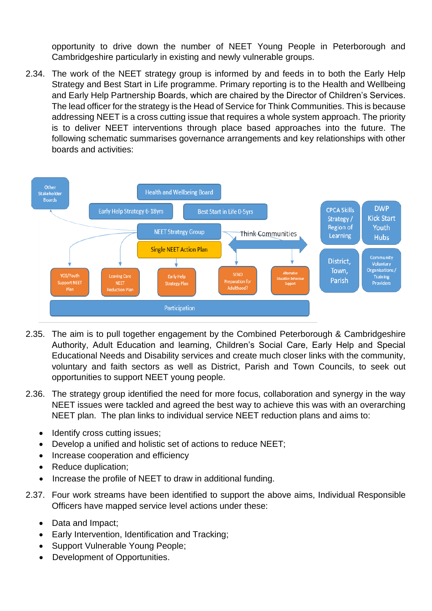opportunity to drive down the number of NEET Young People in Peterborough and Cambridgeshire particularly in existing and newly vulnerable groups.

2.34. The work of the NEET strategy group is informed by and feeds in to both the Early Help Strategy and Best Start in Life programme. Primary reporting is to the Health and Wellbeing and Early Help Partnership Boards, which are chaired by the Director of Children's Services. The lead officer for the strategy is the Head of Service for Think Communities. This is because addressing NEET is a cross cutting issue that requires a whole system approach. The priority is to deliver NEET interventions through place based approaches into the future. The following schematic summarises governance arrangements and key relationships with other boards and activities:



- 2.35. The aim is to pull together engagement by the Combined Peterborough & Cambridgeshire Authority, Adult Education and learning, Children's Social Care, Early Help and Special Educational Needs and Disability services and create much closer links with the community, voluntary and faith sectors as well as District, Parish and Town Councils, to seek out opportunities to support NEET young people.
- 2.36. The strategy group identified the need for more focus, collaboration and synergy in the way NEET issues were tackled and agreed the best way to achieve this was with an overarching NEET plan. The plan links to individual service NEET reduction plans and aims to:
	- Identify cross cutting issues;
	- Develop a unified and holistic set of actions to reduce NEET;
	- Increase cooperation and efficiency
	- Reduce duplication;
	- Increase the profile of NEET to draw in additional funding.
- 2.37. Four work streams have been identified to support the above aims, Individual Responsible Officers have mapped service level actions under these:
	- Data and Impact;
	- Early Intervention, Identification and Tracking;
	- Support Vulnerable Young People;
	- Development of Opportunities.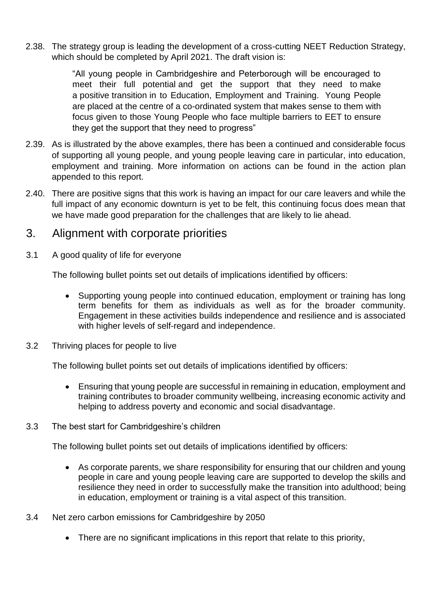2.38. The strategy group is leading the development of a cross-cutting NEET Reduction Strategy, which should be completed by April 2021. The draft vision is:

> "All young people in Cambridgeshire and Peterborough will be encouraged to meet their full potential and get the support that they need to make a positive transition in to Education, Employment and Training. Young People are placed at the centre of a co-ordinated system that makes sense to them with focus given to those Young People who face multiple barriers to EET to ensure they get the support that they need to progress"

- 2.39. As is illustrated by the above examples, there has been a continued and considerable focus of supporting all young people, and young people leaving care in particular, into education, employment and training. More information on actions can be found in the action plan appended to this report.
- 2.40. There are positive signs that this work is having an impact for our care leavers and while the full impact of any economic downturn is yet to be felt, this continuing focus does mean that we have made good preparation for the challenges that are likely to lie ahead.

### 3. Alignment with corporate priorities

3.1 A good quality of life for everyone

The following bullet points set out details of implications identified by officers:

- Supporting young people into continued education, employment or training has long term benefits for them as individuals as well as for the broader community. Engagement in these activities builds independence and resilience and is associated with higher levels of self-regard and independence.
- 3.2 Thriving places for people to live

The following bullet points set out details of implications identified by officers:

- Ensuring that young people are successful in remaining in education, employment and training contributes to broader community wellbeing, increasing economic activity and helping to address poverty and economic and social disadvantage.
- 3.3 The best start for Cambridgeshire's children

The following bullet points set out details of implications identified by officers:

- As corporate parents, we share responsibility for ensuring that our children and young people in care and young people leaving care are supported to develop the skills and resilience they need in order to successfully make the transition into adulthood; being in education, employment or training is a vital aspect of this transition.
- 3.4 Net zero carbon emissions for Cambridgeshire by 2050
	- There are no significant implications in this report that relate to this priority,